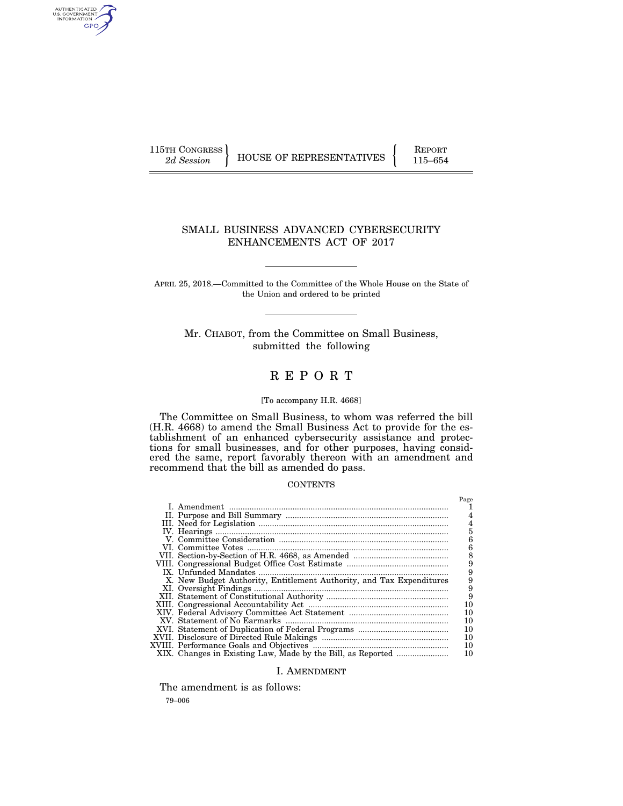AUTHENTICATED<br>U.S. GOVERNMENT<br>INFORMATION GPO

115TH CONGRESS HOUSE OF REPRESENTATIVES FEPORT 115–654

# SMALL BUSINESS ADVANCED CYBERSECURITY ENHANCEMENTS ACT OF 2017

APRIL 25, 2018.—Committed to the Committee of the Whole House on the State of the Union and ordered to be printed

Mr. CHABOT, from the Committee on Small Business, submitted the following

# R E P O R T

#### [To accompany H.R. 4668]

The Committee on Small Business, to whom was referred the bill (H.R. 4668) to amend the Small Business Act to provide for the establishment of an enhanced cybersecurity assistance and protections for small businesses, and for other purposes, having considered the same, report favorably thereon with an amendment and recommend that the bill as amended do pass.

#### **CONTENTS**

|                                                                      | Page           |
|----------------------------------------------------------------------|----------------|
|                                                                      |                |
|                                                                      |                |
|                                                                      | 4              |
|                                                                      | $\overline{5}$ |
|                                                                      | 6              |
|                                                                      | 6              |
|                                                                      | 8              |
|                                                                      | 9              |
|                                                                      | 9              |
| X. New Budget Authority, Entitlement Authority, and Tax Expenditures | 9              |
|                                                                      | 9              |
|                                                                      | 9              |
|                                                                      | $10\,$         |
|                                                                      | 10             |
|                                                                      | 10             |
|                                                                      | 10             |
|                                                                      | 10             |
|                                                                      | 10             |
|                                                                      | 10             |

## I. AMENDMENT

The amendment is as follows:

79–006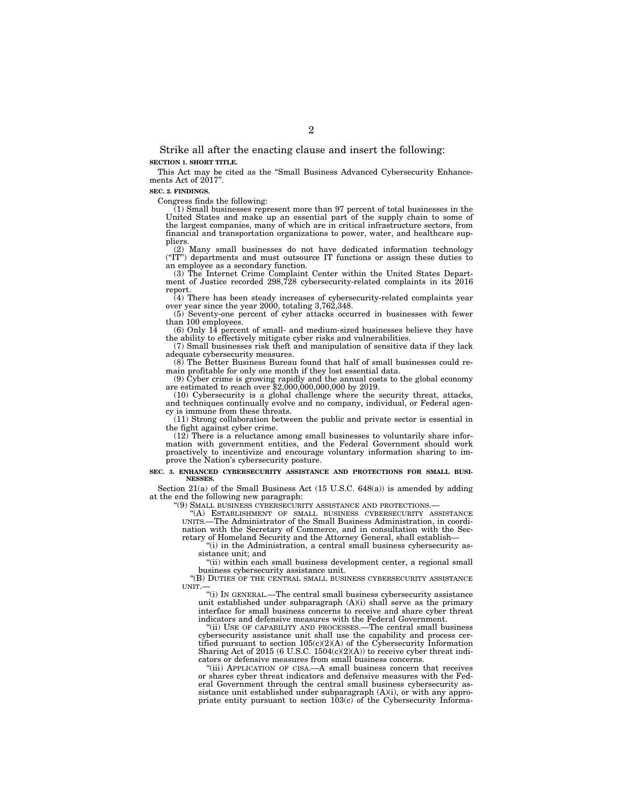Strike all after the enacting clause and insert the following: **SECTION 1. SHORT TITLE.** 

This Act may be cited as the "Small Business Advanced Cybersecurity Enhancements Act of 2017".

#### **SEC. 2. FINDINGS.**

Congress finds the following:

(1) Small businesses represent more than 97 percent of total businesses in the United States and make up an essential part of the supply chain to some of the largest companies, many of which are in critical infrastructure sectors, from financial and transportation organizations to power, water, and healthcare suppliers.

(2) Many small businesses do not have dedicated information technology (''IT'') departments and must outsource IT functions or assign these duties to an employee as a secondary function.

(3) The Internet Crime Complaint Center within the United States Department of Justice recorded 298,728 cybersecurity-related complaints in its 2016 report.

(4) There has been steady increases of cybersecurity-related complaints year over year since the year 2000, totaling 3,762,348.

(5) Seventy-one percent of cyber attacks occurred in businesses with fewer than 100 employees.

(6) Only 14 percent of small- and medium-sized businesses believe they have the ability to effectively mitigate cyber risks and vulnerabilities.

(7) Small businesses risk theft and manipulation of sensitive data if they lack adequate cybersecurity measures.

(8) The Better Business Bureau found that half of small businesses could remain profitable for only one month if they lost essential data.

(9) Cyber crime is growing rapidly and the annual costs to the global economy are estimated to reach over \$2,000,000,000,000 by 2019.

(10) Cybersecurity is a global challenge where the security threat, attacks, and techniques continually evolve and no company, individual, or Federal agency is immune from these threats.

(11) Strong collaboration between the public and private sector is essential in the fight against cyber crime.

(12) There is a reluctance among small businesses to voluntarily share information with government entities, and the Federal Government should work proactively to incentivize and encourage voluntary information sharing to improve the Nation's cybersecurity posture.

#### **SEC. 3. ENHANCED CYBERSECURITY ASSISTANCE AND PROTECTIONS FOR SMALL BUSI-NESSES.**

Section 21(a) of the Small Business Act (15 U.S.C. 648(a)) is amended by adding at the end the following new paragraph:

'(9) SMALL BUSINESS CYBERSECURITY ASSISTANCE AND PROTECTIONS.

"(A) ESTABLISHMENT OF SMALL BUSINESS CYBERSECURITY ASSISTANCE UNITS.—The Administrator of the Small Business Administration, in coordination with the Secretary of Commerce, and in consultation with the Secretary of Homeland Security and the Attorney General, shall establish—

''(i) in the Administration, a central small business cybersecurity assistance unit; and

''(ii) within each small business development center, a regional small business cybersecurity assistance unit.

''(B) DUTIES OF THE CENTRAL SMALL BUSINESS CYBERSECURITY ASSISTANCE UNIT.—

''(i) IN GENERAL.—The central small business cybersecurity assistance unit established under subparagraph (A)(i) shall serve as the primary interface for small business concerns to receive and share cyber threat indicators and defensive measures with the Federal Government.

''(ii) USE OF CAPABILITY AND PROCESSES.—The central small business cybersecurity assistance unit shall use the capability and process certified pursuant to section 105(c)(2)(A) of the Cybersecurity Information Sharing Act of  $2015$  (6 U.S.C.  $1504(c)(2)(A)$ ) to receive cyber threat indicators or defensive measures from small business concerns.

''(iii) APPLICATION OF CISA.—A small business concern that receives or shares cyber threat indicators and defensive measures with the Federal Government through the central small business cybersecurity assistance unit established under subparagraph (A)(i), or with any appropriate entity pursuant to section  $103(c)$  of the Cybersecurity Informa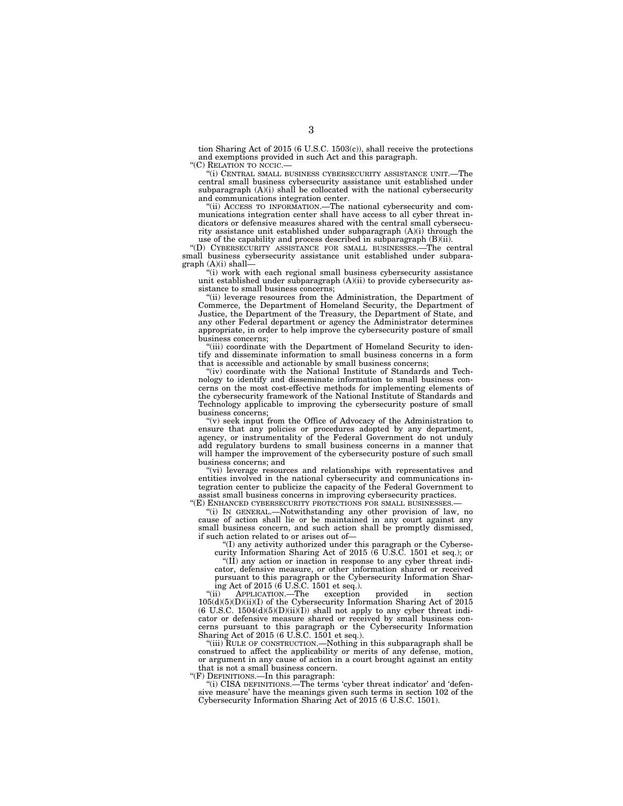tion Sharing Act of 2015 (6 U.S.C. 1503(c)), shall receive the protections and exemptions provided in such Act and this paragraph.

''(C) RELATION TO NCCIC.—

''(i) CENTRAL SMALL BUSINESS CYBERSECURITY ASSISTANCE UNIT.—The central small business cybersecurity assistance unit established under subparagraph (A)(i) shall be collocated with the national cybersecurity and communications integration center.

''(ii) ACCESS TO INFORMATION.—The national cybersecurity and communications integration center shall have access to all cyber threat indicators or defensive measures shared with the central small cybersecurity assistance unit established under subparagraph (A)(i) through the use of the capability and process described in subparagraph (B)(ii).

''(D) CYBERSECURITY ASSISTANCE FOR SMALL BUSINESSES.—The central small business cybersecurity assistance unit established under subparagraph (A)(i) shall—

''(i) work with each regional small business cybersecurity assistance unit established under subparagraph (A)(ii) to provide cybersecurity assistance to small business concerns;

"(ii) leverage resources from the Administration, the Department of Commerce, the Department of Homeland Security, the Department of Justice, the Department of the Treasury, the Department of State, and any other Federal department or agency the Administrator determines appropriate, in order to help improve the cybersecurity posture of small business concerns;

"(iii) coordinate with the Department of Homeland Security to identify and disseminate information to small business concerns in a form that is accessible and actionable by small business concerns;

''(iv) coordinate with the National Institute of Standards and Technology to identify and disseminate information to small business concerns on the most cost-effective methods for implementing elements of the cybersecurity framework of the National Institute of Standards and Technology applicable to improving the cybersecurity posture of small business concerns;

" $(v)$  seek input from the Office of Advocacy of the Administration to ensure that any policies or procedures adopted by any department, agency, or instrumentality of the Federal Government do not unduly add regulatory burdens to small business concerns in a manner that will hamper the improvement of the cybersecurity posture of such small business concerns; and

''(vi) leverage resources and relationships with representatives and entities involved in the national cybersecurity and communications integration center to publicize the capacity of the Federal Government to assist small business concerns in improving cybersecurity practices.

"(E) ENHANCED CYBERSECURITY PROTECTIONS FOR SMALL BUSINESSES.-

''(i) IN GENERAL.—Notwithstanding any other provision of law, no cause of action shall lie or be maintained in any court against any small business concern, and such action shall be promptly dismissed, if such action related to or arises out of—

''(I) any activity authorized under this paragraph or the Cyberse-

curity Information Sharing Act of 2015 (6 U.S.C. 1501 et seq.); or ''(II) any action or inaction in response to any cyber threat indicator, defensive measure, or other information shared or received pursuant to this paragraph or the Cybersecurity Information Sharing Act of 2015 ( $\vec{6}$  U.S.C. 1501 et seq.).<br>"(ii) APPLICATION.—The exception

''(ii) APPLICATION.—The exception provided in section  $105(d)(5)(D)(ii)(I)$  of the Cybersecurity Information Sharing Act of 2015  $(6 \text{ U.S.C. } 1504(d)(5)(D)(ii)(I))$  shall not apply to any cyber threat indicator or defensive measure shared or received by small business concerns pursuant to this paragraph or the Cybersecurity Information Sharing Act of 2015 (6 U.S.C. 1501 et seq.).

"(iii) RULE OF CONSTRUCTION.—Nothing in this subparagraph shall be construed to affect the applicability or merits of any defense, motion, or argument in any cause of action in a court brought against an entity that is not a small business concern.

''(F) DEFINITIONS.—In this paragraph:

''(i) CISA DEFINITIONS.—The terms 'cyber threat indicator' and 'defensive measure' have the meanings given such terms in section 102 of the Cybersecurity Information Sharing Act of 2015 (6 U.S.C. 1501).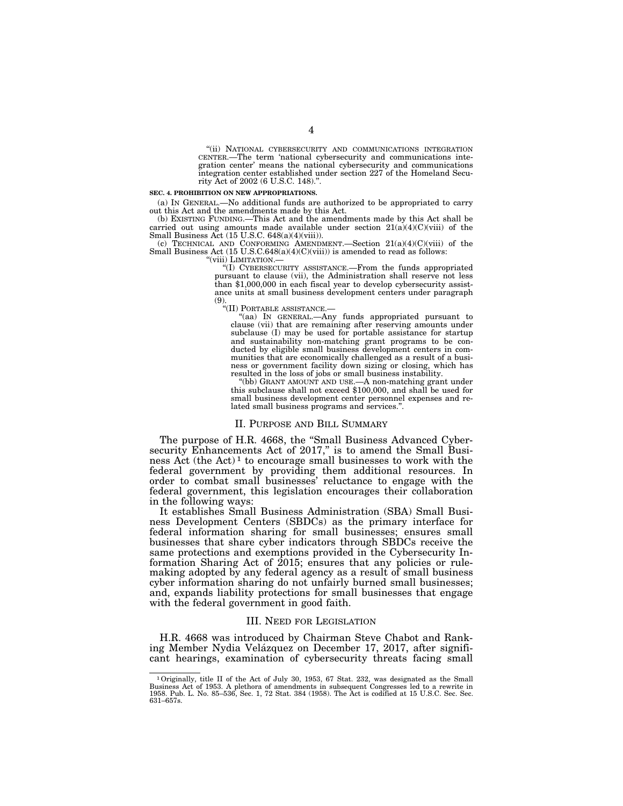"(ii) NATIONAL CYBERSECURITY AND COMMUNICATIONS INTEGRATION CENTER.—The term 'national cybersecurity and communications integration center' means the national cybersecurity and communications integration center established under section 227 of the Homeland Security Act of 2002 (6 U.S.C. 148).

#### **SEC. 4. PROHIBITION ON NEW APPROPRIATIONS.**

(a) IN GENERAL.—No additional funds are authorized to be appropriated to carry out this Act and the amendments made by this Act.

(b) EXISTING FUNDING.—This Act and the amendments made by this Act shall be carried out using amounts made available under section 21(a)(4)(C)(viii) of the Small Business Act (15 U.S.C. 648(a)(4)(viii)).

(c) TECHNICAL AND CONFORMING AMENDMENT.—Section  $21(a)(4)(C)(viii)$  of the Small Business Act (15 U.S.C.648(a)(4)(C)(viii)) is amended to read as follows:

"(viii) LIMITATION.-

''(I) CYBERSECURITY ASSISTANCE.—From the funds appropriated pursuant to clause (vii), the Administration shall reserve not less than \$1,000,000 in each fiscal year to develop cybersecurity assistance units at small business development centers under paragraph (9).

''(II) PORTABLE ASSISTANCE.—

''(aa) IN GENERAL.—Any funds appropriated pursuant to clause (vii) that are remaining after reserving amounts under subclause (I) may be used for portable assistance for startup and sustainability non-matching grant programs to be conducted by eligible small business development centers in communities that are economically challenged as a result of a business or government facility down sizing or closing, which has resulted in the loss of jobs or small business instability.

''(bb) GRANT AMOUNT AND USE.—A non-matching grant under this subclause shall not exceed \$100,000, and shall be used for small business development center personnel expenses and related small business programs and services.''.

#### II. PURPOSE AND BILL SUMMARY

The purpose of H.R. 4668, the ''Small Business Advanced Cybersecurity Enhancements Act of 2017," is to amend the Small Business Act (the Act) 1 to encourage small businesses to work with the federal government by providing them additional resources. In order to combat small businesses' reluctance to engage with the federal government, this legislation encourages their collaboration in the following ways:

It establishes Small Business Administration (SBA) Small Business Development Centers (SBDCs) as the primary interface for federal information sharing for small businesses; ensures small businesses that share cyber indicators through SBDCs receive the same protections and exemptions provided in the Cybersecurity Information Sharing Act of 2015; ensures that any policies or rulemaking adopted by any federal agency as a result of small business cyber information sharing do not unfairly burned small businesses; and, expands liability protections for small businesses that engage with the federal government in good faith.

#### III. NEED FOR LEGISLATION

H.R. 4668 was introduced by Chairman Steve Chabot and Ranking Member Nydia Velázquez on December 17, 2017, after significant hearings, examination of cybersecurity threats facing small

<sup>1</sup>Originally, title II of the Act of July 30, 1953, 67 Stat. 232, was designated as the Small Business Act of 1953. A plethora of amendments in subsequent Congresses led to a rewrite in 1958. Pub. L. No. 85–536, Sec. 1, 72 Stat. 384 (1958). The Act is codified at 15 U.S.C. Sec. Sec. 631–657s.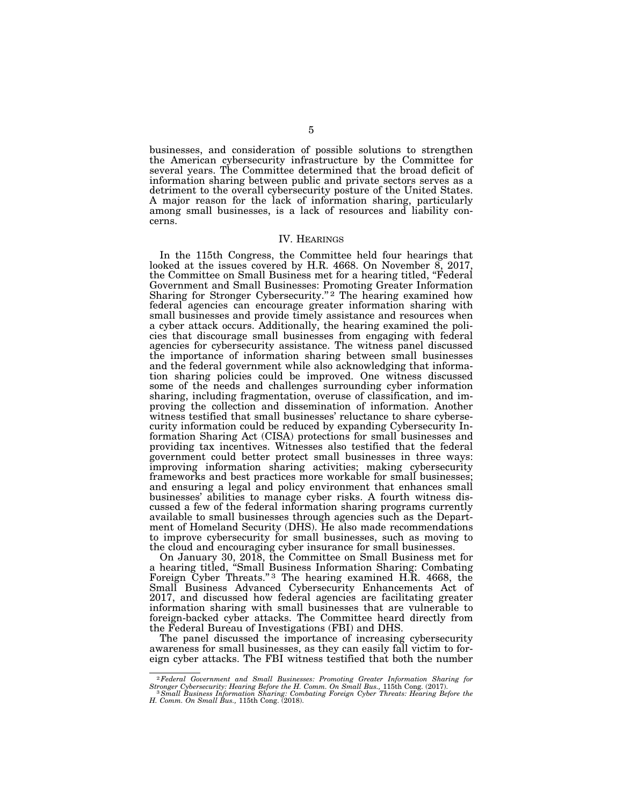businesses, and consideration of possible solutions to strengthen the American cybersecurity infrastructure by the Committee for several years. The Committee determined that the broad deficit of information sharing between public and private sectors serves as a detriment to the overall cybersecurity posture of the United States. A major reason for the lack of information sharing, particularly among small businesses, is a lack of resources and liability concerns.

#### IV. HEARINGS

In the 115th Congress, the Committee held four hearings that looked at the issues covered by H.R. 4668. On November 8, 2017, the Committee on Small Business met for a hearing titled, ''Federal Government and Small Businesses: Promoting Greater Information Sharing for Stronger Cybersecurity."<sup>2</sup> The hearing examined how federal agencies can encourage greater information sharing with small businesses and provide timely assistance and resources when a cyber attack occurs. Additionally, the hearing examined the policies that discourage small businesses from engaging with federal agencies for cybersecurity assistance. The witness panel discussed the importance of information sharing between small businesses and the federal government while also acknowledging that information sharing policies could be improved. One witness discussed some of the needs and challenges surrounding cyber information sharing, including fragmentation, overuse of classification, and improving the collection and dissemination of information. Another witness testified that small businesses' reluctance to share cybersecurity information could be reduced by expanding Cybersecurity Information Sharing Act (CISA) protections for small businesses and providing tax incentives. Witnesses also testified that the federal government could better protect small businesses in three ways: improving information sharing activities; making cybersecurity frameworks and best practices more workable for small businesses; and ensuring a legal and policy environment that enhances small businesses' abilities to manage cyber risks. A fourth witness discussed a few of the federal information sharing programs currently available to small businesses through agencies such as the Department of Homeland Security (DHS). He also made recommendations to improve cybersecurity for small businesses, such as moving to the cloud and encouraging cyber insurance for small businesses.

On January 30, 2018, the Committee on Small Business met for a hearing titled, ''Small Business Information Sharing: Combating Foreign Cyber Threats."<sup>3</sup> The hearing examined H.R. 4668, the Small Business Advanced Cybersecurity Enhancements Act of 2017, and discussed how federal agencies are facilitating greater information sharing with small businesses that are vulnerable to foreign-backed cyber attacks. The Committee heard directly from the Federal Bureau of Investigations (FBI) and DHS.

The panel discussed the importance of increasing cybersecurity awareness for small businesses, as they can easily fall victim to foreign cyber attacks. The FBI witness testified that both the number

<sup>&</sup>lt;sup>2</sup> Federal Government and Small Businesses: Promoting Greater Information Sharing for Stronger Cybersecurity: Hearing Before the H. Comm. On Small Bus., 115th Cong. (2017).<br><sup>3</sup> Small Business Information Sharing: Combati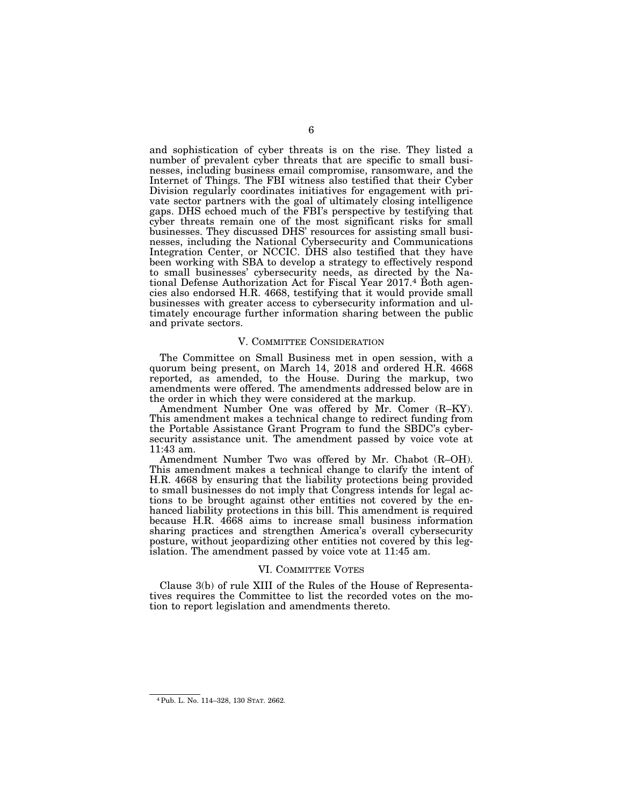and sophistication of cyber threats is on the rise. They listed a number of prevalent cyber threats that are specific to small businesses, including business email compromise, ransomware, and the Internet of Things. The FBI witness also testified that their Cyber Division regularly coordinates initiatives for engagement with private sector partners with the goal of ultimately closing intelligence gaps. DHS echoed much of the FBI's perspective by testifying that cyber threats remain one of the most significant risks for small businesses. They discussed DHS' resources for assisting small businesses, including the National Cybersecurity and Communications Integration Center, or NCCIC. DHS also testified that they have been working with SBA to develop a strategy to effectively respond to small businesses' cybersecurity needs, as directed by the National Defense Authorization Act for Fiscal Year 2017.4 Both agencies also endorsed H.R. 4668, testifying that it would provide small businesses with greater access to cybersecurity information and ultimately encourage further information sharing between the public and private sectors.

## V. COMMITTEE CONSIDERATION

The Committee on Small Business met in open session, with a quorum being present, on March 14, 2018 and ordered H.R. 4668 reported, as amended, to the House. During the markup, two amendments were offered. The amendments addressed below are in the order in which they were considered at the markup.

Amendment Number One was offered by Mr. Comer (R-KY). This amendment makes a technical change to redirect funding from the Portable Assistance Grant Program to fund the SBDC's cybersecurity assistance unit. The amendment passed by voice vote at 11:43 am.

Amendment Number Two was offered by Mr. Chabot (R–OH). This amendment makes a technical change to clarify the intent of H.R. 4668 by ensuring that the liability protections being provided to small businesses do not imply that Congress intends for legal actions to be brought against other entities not covered by the enhanced liability protections in this bill. This amendment is required because H.R. 4668 aims to increase small business information sharing practices and strengthen America's overall cybersecurity posture, without jeopardizing other entities not covered by this legislation. The amendment passed by voice vote at 11:45 am.

#### VI. COMMITTEE VOTES

Clause 3(b) of rule XIII of the Rules of the House of Representatives requires the Committee to list the recorded votes on the motion to report legislation and amendments thereto.

<sup>6</sup> 

<sup>4</sup>Pub. L. No. 114–328, 130 STAT. 2662.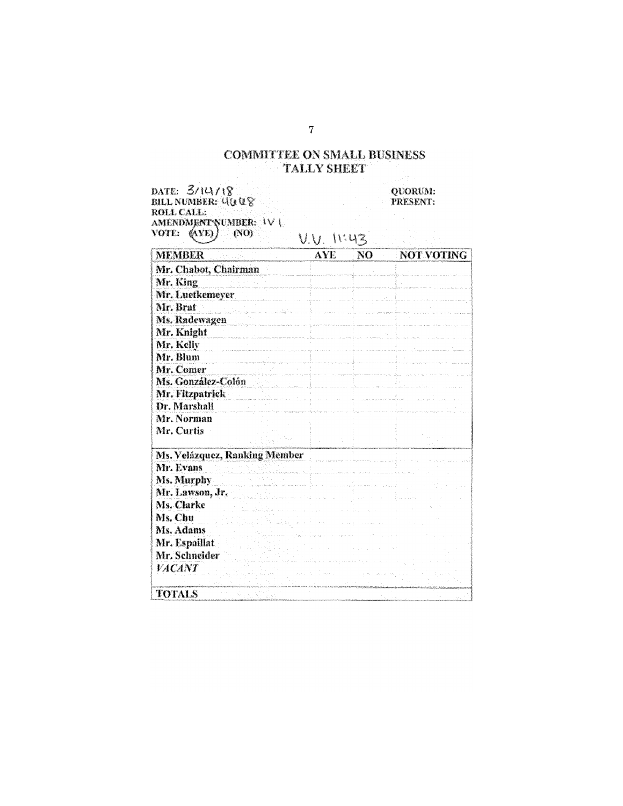# **COMMITTEE ON SMALL BUSINESS TALLY SHEET**

DATE: 3/14/18<br>BILL NUMBER: 4008<br>ROLL CALL: AMENDMENT NUMBER:  $|V|$ <br>vote: (AYE) (NO)<br>(NO) (VO) (V) (V)

QUORUM: PRESENT:

| <b>MEMBER</b>        |                               | <b>AYE</b>                                                                                                     | NO | <b>NOT VOTING</b> |
|----------------------|-------------------------------|----------------------------------------------------------------------------------------------------------------|----|-------------------|
| Mr. Chabot, Chairman |                               |                                                                                                                |    |                   |
| Mr. King             |                               |                                                                                                                |    |                   |
| Mr. Luetkemeyer      |                               |                                                                                                                |    |                   |
| Mr. Brat             | and the form and the          |                                                                                                                |    |                   |
| Ms. Radewagen        |                               |                                                                                                                |    |                   |
| Mr. Knight           |                               |                                                                                                                |    |                   |
| Mr. Kelly            |                               |                                                                                                                |    |                   |
| Mr. Blum             |                               |                                                                                                                |    |                   |
| Mr. Comer            |                               |                                                                                                                |    |                   |
| Ms. González-Colón   |                               |                                                                                                                |    |                   |
| Mr. Fitzpatrick      |                               |                                                                                                                |    |                   |
| Dr. Marshall         |                               |                                                                                                                |    |                   |
| Mr. Norman           |                               |                                                                                                                |    |                   |
| Mr. Curtis           |                               |                                                                                                                |    |                   |
|                      | Ms. Velázquez, Ranking Member |                                                                                                                |    |                   |
| Mr. Evans            |                               | ilikuwa mwaka wa 1992, kata wa 1992, kata wa 1992, wakazi wa 1992, wakazi wa 1992, wakazi wa 1992, wakazi wa 1 |    |                   |
| Ms. Murphy           |                               |                                                                                                                |    |                   |
| Mr. Lawson, Jr.      |                               |                                                                                                                |    |                   |
| Ms. Clarke           |                               |                                                                                                                |    |                   |
| Ms. Chu              |                               |                                                                                                                |    |                   |
| Ms. Adams            |                               |                                                                                                                |    |                   |
| Mr. Espaillat        |                               |                                                                                                                |    |                   |
| Mr. Schneider        |                               |                                                                                                                |    |                   |
| VACANT               |                               |                                                                                                                |    |                   |
| <b>TOTALS</b>        |                               |                                                                                                                |    |                   |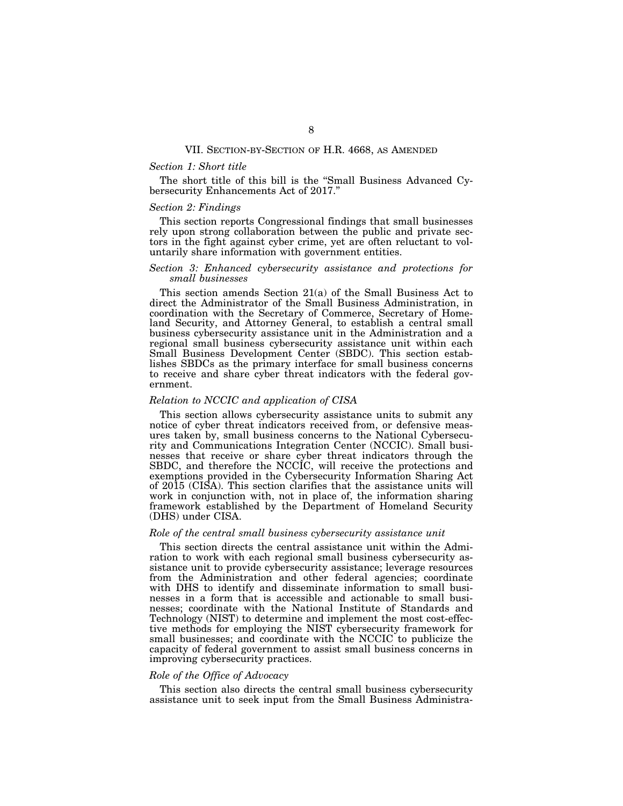#### VII. SECTION-BY-SECTION OF H.R. 4668, AS AMENDED

## *Section 1: Short title*

The short title of this bill is the ''Small Business Advanced Cybersecurity Enhancements Act of 2017.''

## *Section 2: Findings*

This section reports Congressional findings that small businesses rely upon strong collaboration between the public and private sectors in the fight against cyber crime, yet are often reluctant to voluntarily share information with government entities.

## *Section 3: Enhanced cybersecurity assistance and protections for small businesses*

This section amends Section 21(a) of the Small Business Act to direct the Administrator of the Small Business Administration, in coordination with the Secretary of Commerce, Secretary of Homeland Security, and Attorney General, to establish a central small business cybersecurity assistance unit in the Administration and a regional small business cybersecurity assistance unit within each Small Business Development Center (SBDC). This section establishes SBDCs as the primary interface for small business concerns to receive and share cyber threat indicators with the federal government.

## *Relation to NCCIC and application of CISA*

This section allows cybersecurity assistance units to submit any notice of cyber threat indicators received from, or defensive measures taken by, small business concerns to the National Cybersecurity and Communications Integration Center (NCCIC). Small businesses that receive or share cyber threat indicators through the SBDC, and therefore the NCCIC, will receive the protections and exemptions provided in the Cybersecurity Information Sharing Act of 2015 (CISA). This section clarifies that the assistance units will work in conjunction with, not in place of, the information sharing framework established by the Department of Homeland Security (DHS) under CISA.

## *Role of the central small business cybersecurity assistance unit*

This section directs the central assistance unit within the Admiration to work with each regional small business cybersecurity assistance unit to provide cybersecurity assistance; leverage resources from the Administration and other federal agencies; coordinate with DHS to identify and disseminate information to small businesses in a form that is accessible and actionable to small businesses; coordinate with the National Institute of Standards and Technology (NIST) to determine and implement the most cost-effective methods for employing the NIST cybersecurity framework for small businesses; and coordinate with the NCCIC to publicize the capacity of federal government to assist small business concerns in improving cybersecurity practices.

## *Role of the Office of Advocacy*

This section also directs the central small business cybersecurity assistance unit to seek input from the Small Business Administra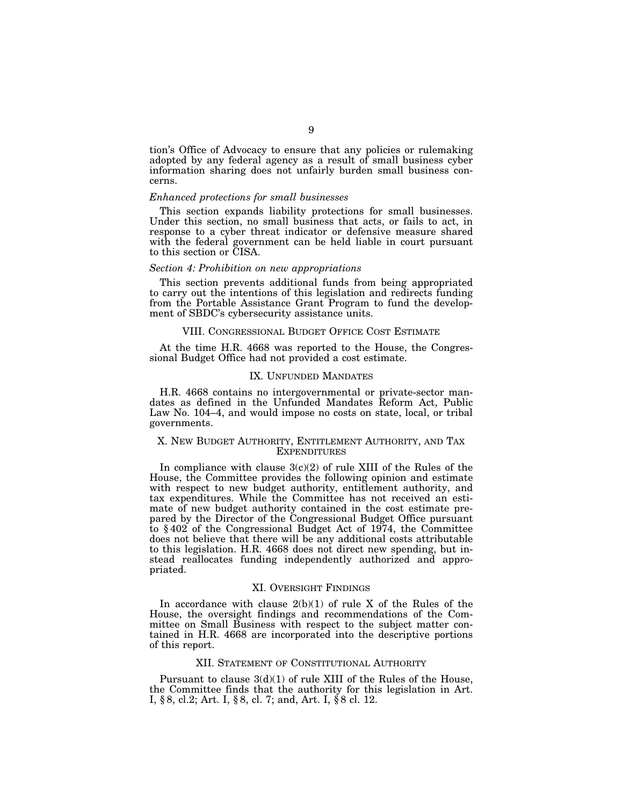tion's Office of Advocacy to ensure that any policies or rulemaking adopted by any federal agency as a result of small business cyber information sharing does not unfairly burden small business concerns.

#### *Enhanced protections for small businesses*

This section expands liability protections for small businesses. Under this section, no small business that acts, or fails to act, in response to a cyber threat indicator or defensive measure shared with the federal government can be held liable in court pursuant to this section or CISA.

## *Section 4: Prohibition on new appropriations*

This section prevents additional funds from being appropriated to carry out the intentions of this legislation and redirects funding from the Portable Assistance Grant Program to fund the development of SBDC's cybersecurity assistance units.

#### VIII. CONGRESSIONAL BUDGET OFFICE COST ESTIMATE

At the time H.R. 4668 was reported to the House, the Congressional Budget Office had not provided a cost estimate.

## IX. UNFUNDED MANDATES

H.R. 4668 contains no intergovernmental or private-sector mandates as defined in the Unfunded Mandates Reform Act, Public Law No. 104–4, and would impose no costs on state, local, or tribal governments.

## X. NEW BUDGET AUTHORITY, ENTITLEMENT AUTHORITY, AND TAX **EXPENDITURES**

In compliance with clause  $3(c)(2)$  of rule XIII of the Rules of the House, the Committee provides the following opinion and estimate with respect to new budget authority, entitlement authority, and tax expenditures. While the Committee has not received an estimate of new budget authority contained in the cost estimate prepared by the Director of the Congressional Budget Office pursuant to § 402 of the Congressional Budget Act of 1974, the Committee does not believe that there will be any additional costs attributable to this legislation. H.R. 4668 does not direct new spending, but instead reallocates funding independently authorized and appropriated.

#### XI. OVERSIGHT FINDINGS

In accordance with clause  $2(b)(1)$  of rule X of the Rules of the House, the oversight findings and recommendations of the Committee on Small Business with respect to the subject matter contained in H.R. 4668 are incorporated into the descriptive portions of this report.

## XII. STATEMENT OF CONSTITUTIONAL AUTHORITY

Pursuant to clause  $3(d)(1)$  of rule XIII of the Rules of the House, the Committee finds that the authority for this legislation in Art. I, § 8, cl.2; Art. I, § 8, cl. 7; and, Art. I, § 8 cl. 12.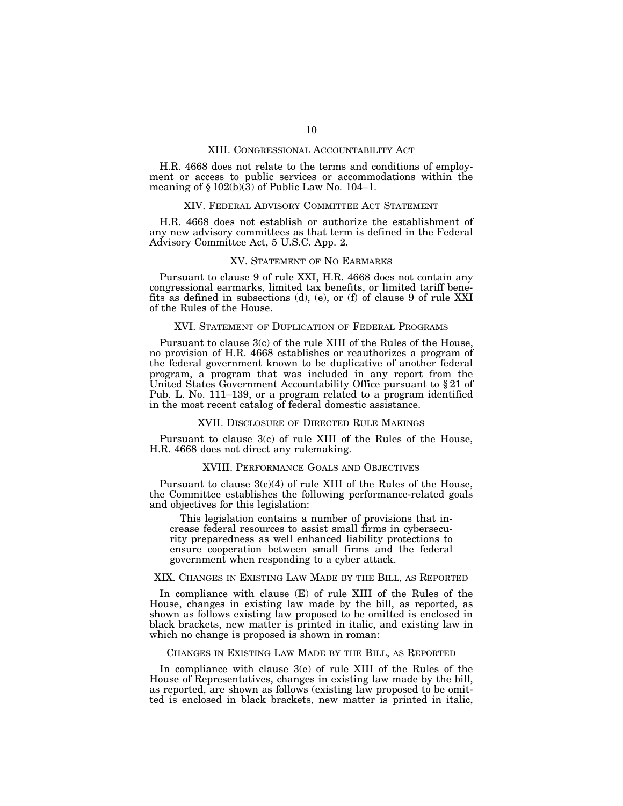#### XIII. CONGRESSIONAL ACCOUNTABILITY ACT

H.R. 4668 does not relate to the terms and conditions of employment or access to public services or accommodations within the meaning of  $\S 102(b)(3)$  of Public Law No. 104–1.

#### XIV. FEDERAL ADVISORY COMMITTEE ACT STATEMENT

H.R. 4668 does not establish or authorize the establishment of any new advisory committees as that term is defined in the Federal Advisory Committee Act, 5 U.S.C. App. 2.

## XV. STATEMENT OF NO EARMARKS

Pursuant to clause 9 of rule XXI, H.R. 4668 does not contain any congressional earmarks, limited tax benefits, or limited tariff benefits as defined in subsections (d), (e), or (f) of clause 9 of rule XXI of the Rules of the House.

## XVI. STATEMENT OF DUPLICATION OF FEDERAL PROGRAMS

Pursuant to clause 3(c) of the rule XIII of the Rules of the House, no provision of H.R. 4668 establishes or reauthorizes a program of the federal government known to be duplicative of another federal program, a program that was included in any report from the United States Government Accountability Office pursuant to § 21 of Pub. L. No. 111–139, or a program related to a program identified in the most recent catalog of federal domestic assistance.

## XVII. DISCLOSURE OF DIRECTED RULE MAKINGS

Pursuant to clause 3(c) of rule XIII of the Rules of the House, H.R. 4668 does not direct any rulemaking.

## XVIII. PERFORMANCE GOALS AND OBJECTIVES

Pursuant to clause  $3(c)(4)$  of rule XIII of the Rules of the House, the Committee establishes the following performance-related goals and objectives for this legislation:

This legislation contains a number of provisions that increase federal resources to assist small firms in cybersecurity preparedness as well enhanced liability protections to ensure cooperation between small firms and the federal government when responding to a cyber attack.

## XIX. CHANGES IN EXISTING LAW MADE BY THE BILL, AS REPORTED

In compliance with clause (E) of rule XIII of the Rules of the House, changes in existing law made by the bill, as reported, as shown as follows existing law proposed to be omitted is enclosed in black brackets, new matter is printed in italic, and existing law in which no change is proposed is shown in roman:

#### CHANGES IN EXISTING LAW MADE BY THE BILL, AS REPORTED

In compliance with clause 3(e) of rule XIII of the Rules of the House of Representatives, changes in existing law made by the bill, as reported, are shown as follows (existing law proposed to be omitted is enclosed in black brackets, new matter is printed in italic,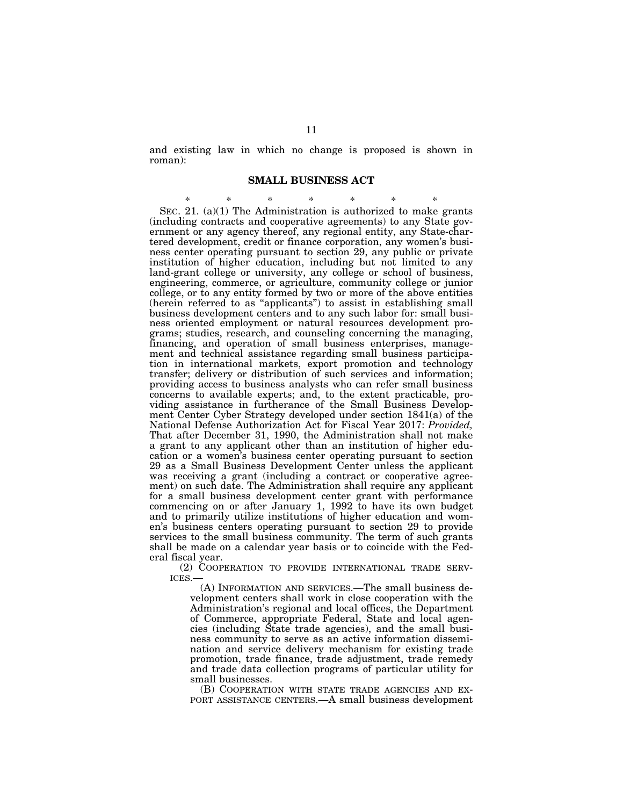and existing law in which no change is proposed is shown in roman):

## **SMALL BUSINESS ACT**

\* \* \* \* \* \* \* SEC. 21. (a)(1) The Administration is authorized to make grants (including contracts and cooperative agreements) to any State government or any agency thereof, any regional entity, any State-chartered development, credit or finance corporation, any women's business center operating pursuant to section 29, any public or private institution of higher education, including but not limited to any land-grant college or university, any college or school of business, engineering, commerce, or agriculture, community college or junior college, or to any entity formed by two or more of the above entities (herein referred to as ''applicants'') to assist in establishing small business development centers and to any such labor for: small business oriented employment or natural resources development programs; studies, research, and counseling concerning the managing, financing, and operation of small business enterprises, management and technical assistance regarding small business participation in international markets, export promotion and technology transfer; delivery or distribution of such services and information; providing access to business analysts who can refer small business concerns to available experts; and, to the extent practicable, providing assistance in furtherance of the Small Business Development Center Cyber Strategy developed under section 1841(a) of the National Defense Authorization Act for Fiscal Year 2017: *Provided,*  That after December 31, 1990, the Administration shall not make a grant to any applicant other than an institution of higher education or a women's business center operating pursuant to section 29 as a Small Business Development Center unless the applicant was receiving a grant (including a contract or cooperative agreement) on such date. The Administration shall require any applicant for a small business development center grant with performance commencing on or after January 1, 1992 to have its own budget and to primarily utilize institutions of higher education and women's business centers operating pursuant to section 29 to provide services to the small business community. The term of such grants shall be made on a calendar year basis or to coincide with the Federal fiscal year.

(2) COOPERATION TO PROVIDE INTERNATIONAL TRADE SERV-ICES.—

(A) INFORMATION AND SERVICES.—The small business development centers shall work in close cooperation with the Administration's regional and local offices, the Department of Commerce, appropriate Federal, State and local agencies (including State trade agencies), and the small business community to serve as an active information dissemination and service delivery mechanism for existing trade promotion, trade finance, trade adjustment, trade remedy and trade data collection programs of particular utility for small businesses.

(B) COOPERATION WITH STATE TRADE AGENCIES AND EX-PORT ASSISTANCE CENTERS.—A small business development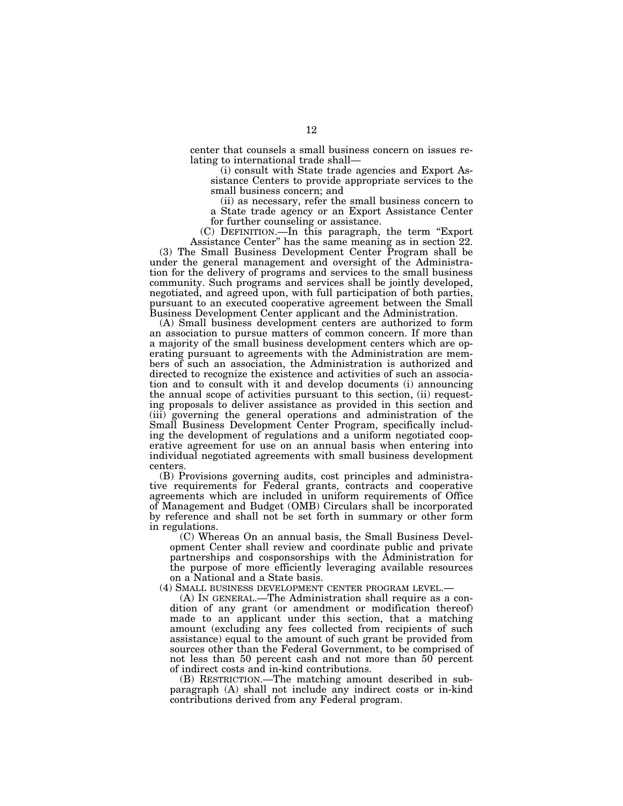center that counsels a small business concern on issues relating to international trade shall—

(i) consult with State trade agencies and Export Assistance Centers to provide appropriate services to the small business concern; and

(ii) as necessary, refer the small business concern to a State trade agency or an Export Assistance Center for further counseling or assistance.

(C) DEFINITION.—In this paragraph, the term ''Export Assistance Center'' has the same meaning as in section 22.

(3) The Small Business Development Center Program shall be under the general management and oversight of the Administration for the delivery of programs and services to the small business community. Such programs and services shall be jointly developed, negotiated, and agreed upon, with full participation of both parties, pursuant to an executed cooperative agreement between the Small Business Development Center applicant and the Administration.

(A) Small business development centers are authorized to form an association to pursue matters of common concern. If more than a majority of the small business development centers which are operating pursuant to agreements with the Administration are members of such an association, the Administration is authorized and directed to recognize the existence and activities of such an association and to consult with it and develop documents (i) announcing the annual scope of activities pursuant to this section, (ii) requesting proposals to deliver assistance as provided in this section and (iii) governing the general operations and administration of the Small Business Development Center Program, specifically including the development of regulations and a uniform negotiated cooperative agreement for use on an annual basis when entering into individual negotiated agreements with small business development centers.

(B) Provisions governing audits, cost principles and administrative requirements for Federal grants, contracts and cooperative agreements which are included in uniform requirements of Office of Management and Budget (OMB) Circulars shall be incorporated by reference and shall not be set forth in summary or other form in regulations.

(C) Whereas On an annual basis, the Small Business Development Center shall review and coordinate public and private partnerships and cosponsorships with the Administration for the purpose of more efficiently leveraging available resources on a National and a State basis.

(4) SMALL BUSINESS DEVELOPMENT CENTER PROGRAM LEVEL.—

(A) IN GENERAL.—The Administration shall require as a condition of any grant (or amendment or modification thereof) made to an applicant under this section, that a matching amount (excluding any fees collected from recipients of such assistance) equal to the amount of such grant be provided from sources other than the Federal Government, to be comprised of not less than 50 percent cash and not more than 50 percent of indirect costs and in-kind contributions.

(B) RESTRICTION.—The matching amount described in subparagraph (A) shall not include any indirect costs or in-kind contributions derived from any Federal program.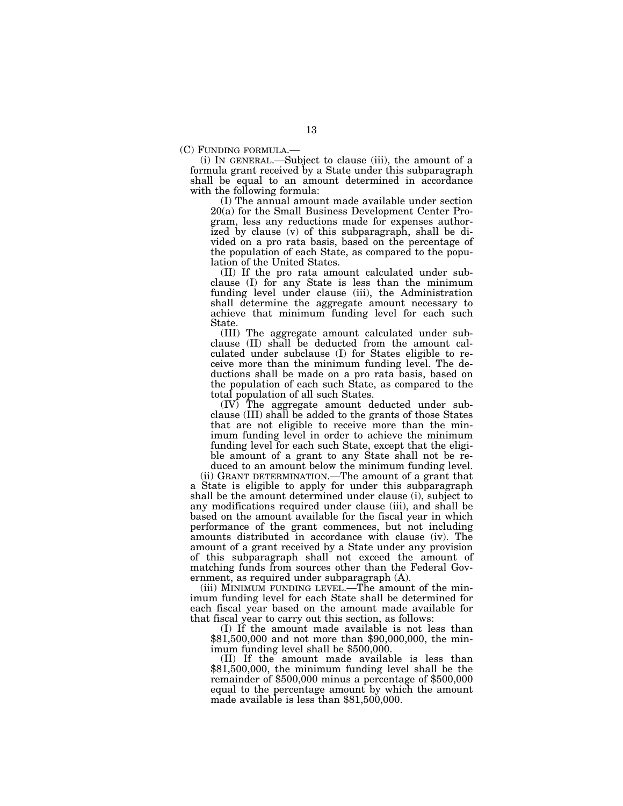(C) FUNDING FORMULA.— (i) IN GENERAL.—Subject to clause (iii), the amount of a formula grant received by a State under this subparagraph shall be equal to an amount determined in accordance with the following formula:

(I) The annual amount made available under section 20(a) for the Small Business Development Center Program, less any reductions made for expenses authorized by clause (v) of this subparagraph, shall be divided on a pro rata basis, based on the percentage of the population of each State, as compared to the population of the United States.

(II) If the pro rata amount calculated under subclause (I) for any State is less than the minimum funding level under clause (iii), the Administration shall determine the aggregate amount necessary to achieve that minimum funding level for each such State.

(III) The aggregate amount calculated under subclause (II) shall be deducted from the amount calculated under subclause (I) for States eligible to receive more than the minimum funding level. The deductions shall be made on a pro rata basis, based on the population of each such State, as compared to the total population of all such States.

(IV) The aggregate amount deducted under subclause (III) shall be added to the grants of those States that are not eligible to receive more than the minimum funding level in order to achieve the minimum funding level for each such State, except that the eligible amount of a grant to any State shall not be reduced to an amount below the minimum funding level.

(ii) GRANT DETERMINATION.—The amount of a grant that a State is eligible to apply for under this subparagraph shall be the amount determined under clause (i), subject to any modifications required under clause (iii), and shall be based on the amount available for the fiscal year in which performance of the grant commences, but not including amounts distributed in accordance with clause (iv). The amount of a grant received by a State under any provision of this subparagraph shall not exceed the amount of matching funds from sources other than the Federal Government, as required under subparagraph (A).

(iii) MINIMUM FUNDING LEVEL.—The amount of the minimum funding level for each State shall be determined for each fiscal year based on the amount made available for that fiscal year to carry out this section, as follows:

(I) If the amount made available is not less than \$81,500,000 and not more than \$90,000,000, the minimum funding level shall be \$500,000.

(II) If the amount made available is less than \$81,500,000, the minimum funding level shall be the remainder of \$500,000 minus a percentage of \$500,000 equal to the percentage amount by which the amount made available is less than \$81,500,000.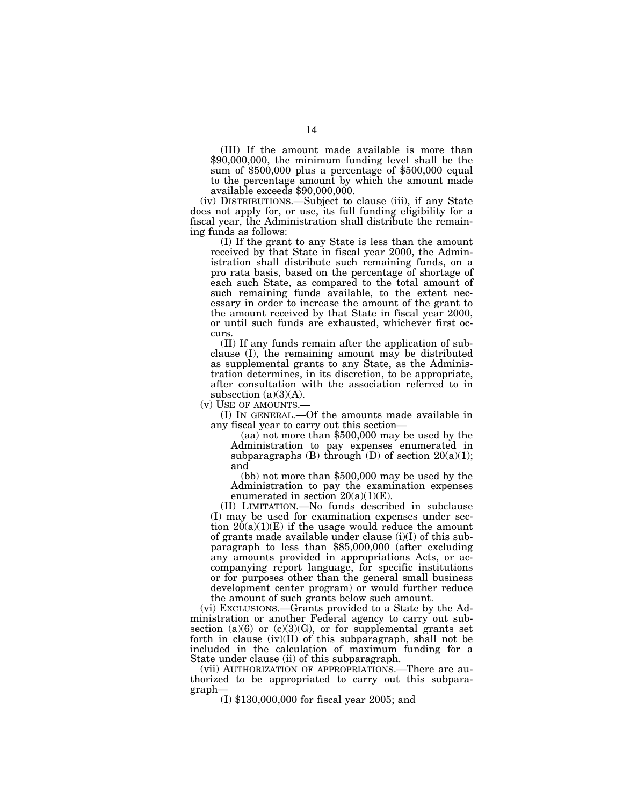(III) If the amount made available is more than \$90,000,000, the minimum funding level shall be the sum of \$500,000 plus a percentage of \$500,000 equal to the percentage amount by which the amount made available exceeds \$90,000,000.

(iv) DISTRIBUTIONS.—Subject to clause (iii), if any State does not apply for, or use, its full funding eligibility for a fiscal year, the Administration shall distribute the remaining funds as follows:

(I) If the grant to any State is less than the amount received by that State in fiscal year 2000, the Administration shall distribute such remaining funds, on a pro rata basis, based on the percentage of shortage of each such State, as compared to the total amount of such remaining funds available, to the extent necessary in order to increase the amount of the grant to the amount received by that State in fiscal year 2000, or until such funds are exhausted, whichever first occurs.

(II) If any funds remain after the application of subclause (I), the remaining amount may be distributed as supplemental grants to any State, as the Administration determines, in its discretion, to be appropriate, after consultation with the association referred to in subsection  $(a)(3)(A)$ .

(v) USE OF AMOUNTS.—<br>(I) IN GENERAL.—Of the amounts made available in any fiscal year to carry out this section—

 $(aa)$  not more than \$500,000 may be used by the Administration to pay expenses enumerated in subparagraphs  $(B)$  through  $(D)$  of section  $20(a)(1)$ ; and

(bb) not more than \$500,000 may be used by the Administration to pay the examination expenses enumerated in section  $20(a)(1)(E)$ .

(II) LIMITATION.—No funds described in subclause (I) may be used for examination expenses under section  $20(a)(1)(E)$  if the usage would reduce the amount of grants made available under clause (i)(I) of this subparagraph to less than \$85,000,000 (after excluding any amounts provided in appropriations Acts, or accompanying report language, for specific institutions or for purposes other than the general small business development center program) or would further reduce the amount of such grants below such amount.

(vi) EXCLUSIONS.—Grants provided to a State by the Administration or another Federal agency to carry out subsection  $(a)(6)$  or  $(c)(3)(G)$ , or for supplemental grants set forth in clause (iv)(II) of this subparagraph, shall not be included in the calculation of maximum funding for a State under clause (ii) of this subparagraph.

(vii) AUTHORIZATION OF APPROPRIATIONS.—There are authorized to be appropriated to carry out this subparagraph— (I) \$130,000,000 for fiscal year 2005; and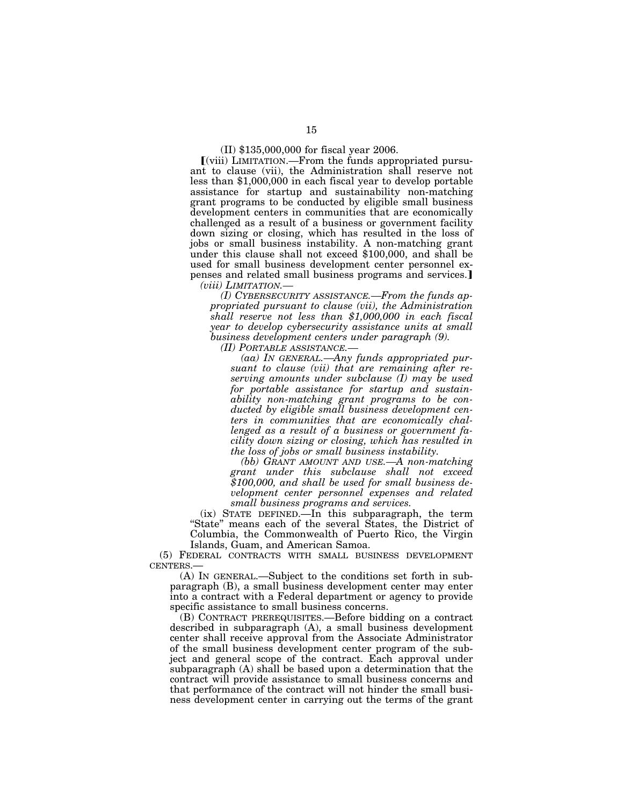## (II) \$135,000,000 for fiscal year 2006.

ø(viii) LIMITATION.—From the funds appropriated pursuant to clause (vii), the Administration shall reserve not less than \$1,000,000 in each fiscal year to develop portable assistance for startup and sustainability non-matching grant programs to be conducted by eligible small business development centers in communities that are economically challenged as a result of a business or government facility down sizing or closing, which has resulted in the loss of jobs or small business instability. A non-matching grant under this clause shall not exceed \$100,000, and shall be used for small business development center personnel expenses and related small business programs and services. *(viii) LIMITATION.—* 

*(I) CYBERSECURITY ASSISTANCE.—From the funds appropriated pursuant to clause (vii), the Administration shall reserve not less than \$1,000,000 in each fiscal year to develop cybersecurity assistance units at small business development centers under paragraph (9).* 

*(II) PORTABLE ASSISTANCE.—* 

*(aa) IN GENERAL.—Any funds appropriated pursuant to clause (vii) that are remaining after reserving amounts under subclause (I) may be used for portable assistance for startup and sustainability non-matching grant programs to be conducted by eligible small business development centers in communities that are economically challenged as a result of a business or government facility down sizing or closing, which has resulted in the loss of jobs or small business instability.* 

*(bb) GRANT AMOUNT AND USE.—A non-matching grant under this subclause shall not exceed \$100,000, and shall be used for small business development center personnel expenses and related small business programs and services.* 

(ix) STATE DEFINED.—In this subparagraph, the term ''State'' means each of the several States, the District of Columbia, the Commonwealth of Puerto Rico, the Virgin Islands, Guam, and American Samoa.

(5) FEDERAL CONTRACTS WITH SMALL BUSINESS DEVELOPMENT CENTERS.—

(A) IN GENERAL.—Subject to the conditions set forth in subparagraph (B), a small business development center may enter into a contract with a Federal department or agency to provide specific assistance to small business concerns.

(B) CONTRACT PREREQUISITES.—Before bidding on a contract described in subparagraph (A), a small business development center shall receive approval from the Associate Administrator of the small business development center program of the subject and general scope of the contract. Each approval under subparagraph (A) shall be based upon a determination that the contract will provide assistance to small business concerns and that performance of the contract will not hinder the small business development center in carrying out the terms of the grant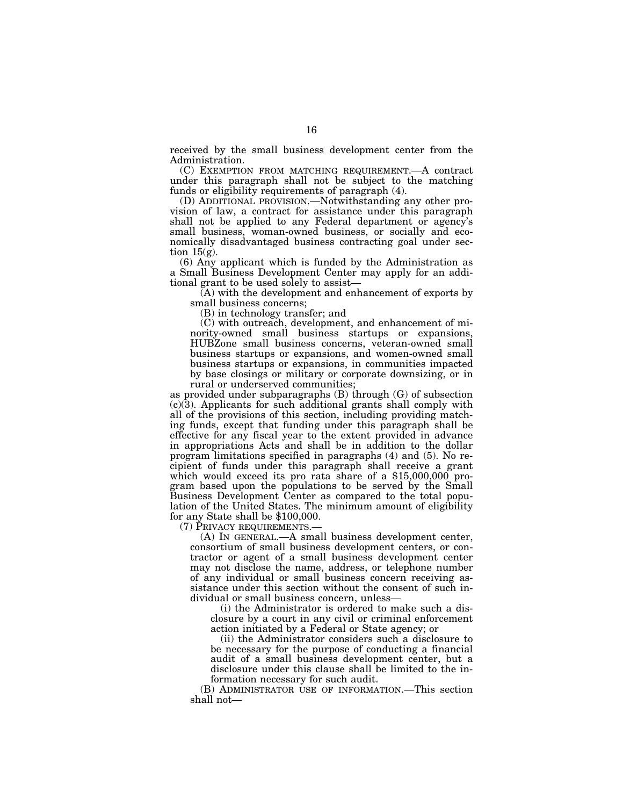received by the small business development center from the Administration.

(C) EXEMPTION FROM MATCHING REQUIREMENT.—A contract under this paragraph shall not be subject to the matching funds or eligibility requirements of paragraph (4).

(D) ADDITIONAL PROVISION.—Notwithstanding any other provision of law, a contract for assistance under this paragraph shall not be applied to any Federal department or agency's small business, woman-owned business, or socially and economically disadvantaged business contracting goal under section  $15(g)$ .

(6) Any applicant which is funded by the Administration as a Small Business Development Center may apply for an additional grant to be used solely to assist—

(A) with the development and enhancement of exports by small business concerns;

(B) in technology transfer; and

(C) with outreach, development, and enhancement of minority-owned small business startups or expansions, HUBZone small business concerns, veteran-owned small business startups or expansions, and women-owned small business startups or expansions, in communities impacted by base closings or military or corporate downsizing, or in rural or underserved communities;

as provided under subparagraphs (B) through (G) of subsection  $(c)(3)$ . Applicants for such additional grants shall comply with all of the provisions of this section, including providing matching funds, except that funding under this paragraph shall be effective for any fiscal year to the extent provided in advance in appropriations Acts and shall be in addition to the dollar program limitations specified in paragraphs (4) and (5). No recipient of funds under this paragraph shall receive a grant which would exceed its pro rata share of a \$15,000,000 program based upon the populations to be served by the Small Business Development Center as compared to the total population of the United States. The minimum amount of eligibility for any State shall be \$100,000.<br>(7) PRIVACY REQUIREMENTS.—

 $(A)$  In GENERAL.— $A$  small business development center, consortium of small business development centers, or contractor or agent of a small business development center may not disclose the name, address, or telephone number of any individual or small business concern receiving assistance under this section without the consent of such individual or small business concern, unless—

(i) the Administrator is ordered to make such a disclosure by a court in any civil or criminal enforcement action initiated by a Federal or State agency; or

(ii) the Administrator considers such a disclosure to be necessary for the purpose of conducting a financial audit of a small business development center, but a disclosure under this clause shall be limited to the information necessary for such audit.

(B) ADMINISTRATOR USE OF INFORMATION.—This section shall not—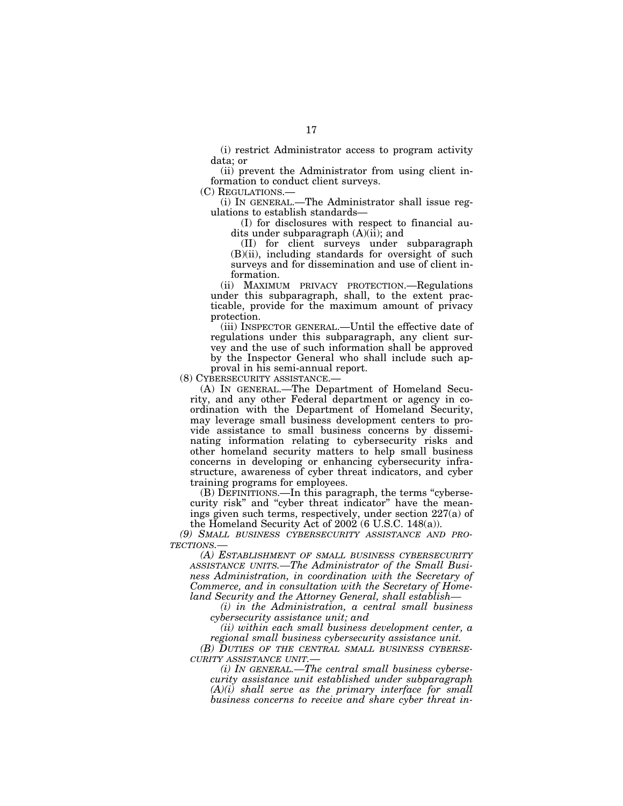(i) restrict Administrator access to program activity data; or

(ii) prevent the Administrator from using client information to conduct client surveys.

(C) REGULATIONS.—

(i) IN GENERAL.—The Administrator shall issue regulations to establish standards—

(I) for disclosures with respect to financial audits under subparagraph  $(A)(ii)$ ; and

(II) for client surveys under subparagraph (B)(ii), including standards for oversight of such surveys and for dissemination and use of client information.

(ii) MAXIMUM PRIVACY PROTECTION.—Regulations under this subparagraph, shall, to the extent practicable, provide for the maximum amount of privacy protection.

(iii) INSPECTOR GENERAL.—Until the effective date of regulations under this subparagraph, any client survey and the use of such information shall be approved by the Inspector General who shall include such approval in his semi-annual report.

(8) CYBERSECURITY ASSISTANCE.—

(A) IN GENERAL.—The Department of Homeland Security, and any other Federal department or agency in coordination with the Department of Homeland Security, may leverage small business development centers to provide assistance to small business concerns by disseminating information relating to cybersecurity risks and other homeland security matters to help small business concerns in developing or enhancing cybersecurity infrastructure, awareness of cyber threat indicators, and cyber training programs for employees.

(B) DEFINITIONS.—In this paragraph, the terms ''cybersecurity risk'' and ''cyber threat indicator'' have the meanings given such terms, respectively, under section 227(a) of the Homeland Security Act of  $2002$  (6 U.S.C. 148(a)).

*(9) SMALL BUSINESS CYBERSECURITY ASSISTANCE AND PRO-TECTIONS.—* 

*(A) ESTABLISHMENT OF SMALL BUSINESS CYBERSECURITY ASSISTANCE UNITS.—The Administrator of the Small Business Administration, in coordination with the Secretary of Commerce, and in consultation with the Secretary of Homeland Security and the Attorney General, shall establish—* 

*(i) in the Administration, a central small business cybersecurity assistance unit; and* 

*(ii) within each small business development center, a regional small business cybersecurity assistance unit.* 

*(B) DUTIES OF THE CENTRAL SMALL BUSINESS CYBERSE-CURITY ASSISTANCE UNIT.—* 

*(i) IN GENERAL.—The central small business cybersecurity assistance unit established under subparagraph (A)(i) shall serve as the primary interface for small business concerns to receive and share cyber threat in-*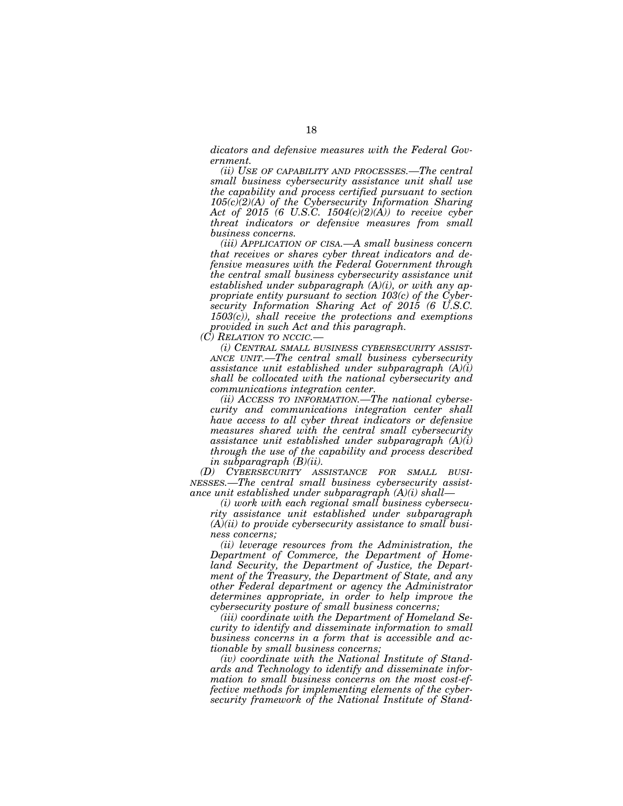*dicators and defensive measures with the Federal Government.* 

*(ii) USE OF CAPABILITY AND PROCESSES.—The central small business cybersecurity assistance unit shall use the capability and process certified pursuant to section 105(c)(2)(A) of the Cybersecurity Information Sharing Act of 2015 (6 U.S.C. 1504(c)(2)(A)) to receive cyber threat indicators or defensive measures from small business concerns.* 

*(iii) APPLICATION OF CISA.—A small business concern that receives or shares cyber threat indicators and defensive measures with the Federal Government through the central small business cybersecurity assistance unit established under subparagraph (A)(i), or with any appropriate entity pursuant to section 103(c) of the Cybersecurity Information Sharing Act of 2015 (6 U.S.C. 1503(c)), shall receive the protections and exemptions provided in such Act and this paragraph.* 

*(C) RELATION TO NCCIC.—* 

*(i) CENTRAL SMALL BUSINESS CYBERSECURITY ASSIST-ANCE UNIT.—The central small business cybersecurity assistance unit established under subparagraph (A)(i) shall be collocated with the national cybersecurity and communications integration center.* 

*(ii) ACCESS TO INFORMATION.—The national cybersecurity and communications integration center shall have access to all cyber threat indicators or defensive measures shared with the central small cybersecurity assistance unit established under subparagraph (A)(i) through the use of the capability and process described in subparagraph (B)(ii).* 

*(D) CYBERSECURITY ASSISTANCE FOR SMALL BUSI-NESSES.—The central small business cybersecurity assistance unit established under subparagraph (A)(i) shall—* 

*(i) work with each regional small business cybersecurity assistance unit established under subparagraph (A)(ii) to provide cybersecurity assistance to small business concerns;* 

*(ii) leverage resources from the Administration, the Department of Commerce, the Department of Homeland Security, the Department of Justice, the Department of the Treasury, the Department of State, and any other Federal department or agency the Administrator determines appropriate, in order to help improve the cybersecurity posture of small business concerns;* 

*(iii) coordinate with the Department of Homeland Security to identify and disseminate information to small business concerns in a form that is accessible and actionable by small business concerns;* 

*(iv) coordinate with the National Institute of Standards and Technology to identify and disseminate information to small business concerns on the most cost-effective methods for implementing elements of the cybersecurity framework of the National Institute of Stand-*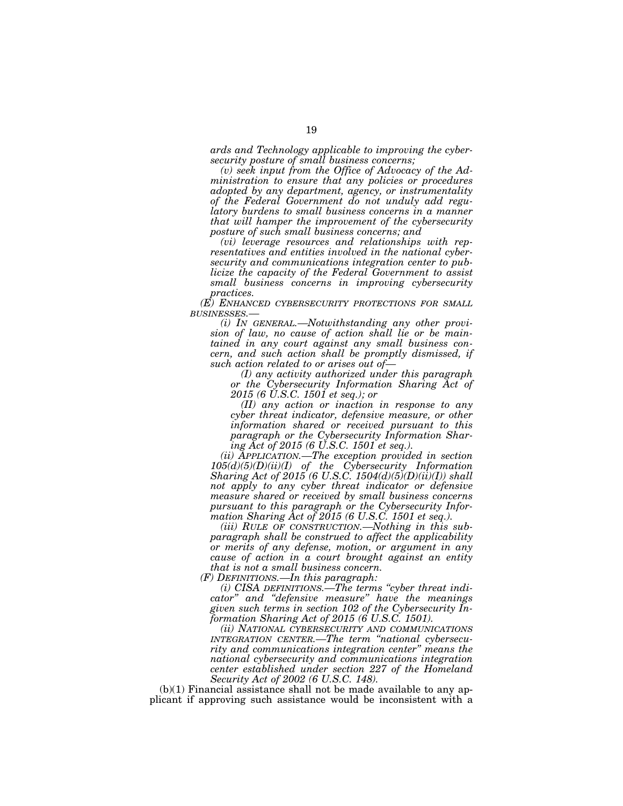*ards and Technology applicable to improving the cybersecurity posture of small business concerns;* 

*(v) seek input from the Office of Advocacy of the Administration to ensure that any policies or procedures adopted by any department, agency, or instrumentality of the Federal Government do not unduly add regulatory burdens to small business concerns in a manner that will hamper the improvement of the cybersecurity posture of such small business concerns; and* 

*(vi) leverage resources and relationships with representatives and entities involved in the national cybersecurity and communications integration center to publicize the capacity of the Federal Government to assist small business concerns in improving cybersecurity practices.* 

*(E) ENHANCED CYBERSECURITY PROTECTIONS FOR SMALL BUSINESSES.—* 

*(i) IN GENERAL.—Notwithstanding any other provision of law, no cause of action shall lie or be maintained in any court against any small business concern, and such action shall be promptly dismissed, if such action related to or arises out of—* 

*(I) any activity authorized under this paragraph or the Cybersecurity Information Sharing Act of 2015 (6 U.S.C. 1501 et seq.); or* 

*(II) any action or inaction in response to any cyber threat indicator, defensive measure, or other information shared or received pursuant to this paragraph or the Cybersecurity Information Sharing Act of 2015 (6 U.S.C. 1501 et seq.).* 

*(ii) APPLICATION.—The exception provided in section 105(d)(5)(D)(ii)(I) of the Cybersecurity Information Sharing Act of 2015 (6 U.S.C. 1504(d)(5)(D)(ii)(I)) shall not apply to any cyber threat indicator or defensive measure shared or received by small business concerns pursuant to this paragraph or the Cybersecurity Information Sharing Act of 2015 (6 U.S.C. 1501 et seq.).* 

*(iii) RULE OF CONSTRUCTION.—Nothing in this subparagraph shall be construed to affect the applicability or merits of any defense, motion, or argument in any cause of action in a court brought against an entity that is not a small business concern.* 

*(F) DEFINITIONS.—In this paragraph:* 

*(i) CISA DEFINITIONS.—The terms ''cyber threat indicator'' and ''defensive measure'' have the meanings given such terms in section 102 of the Cybersecurity Information Sharing Act of 2015 (6 U.S.C. 1501).* 

*(ii) NATIONAL CYBERSECURITY AND COMMUNICATIONS INTEGRATION CENTER.—The term ''national cybersecurity and communications integration center'' means the national cybersecurity and communications integration center established under section 227 of the Homeland Security Act of 2002 (6 U.S.C. 148).* 

 $(b)(1)$  Financial assistance shall not be made available to any applicant if approving such assistance would be inconsistent with a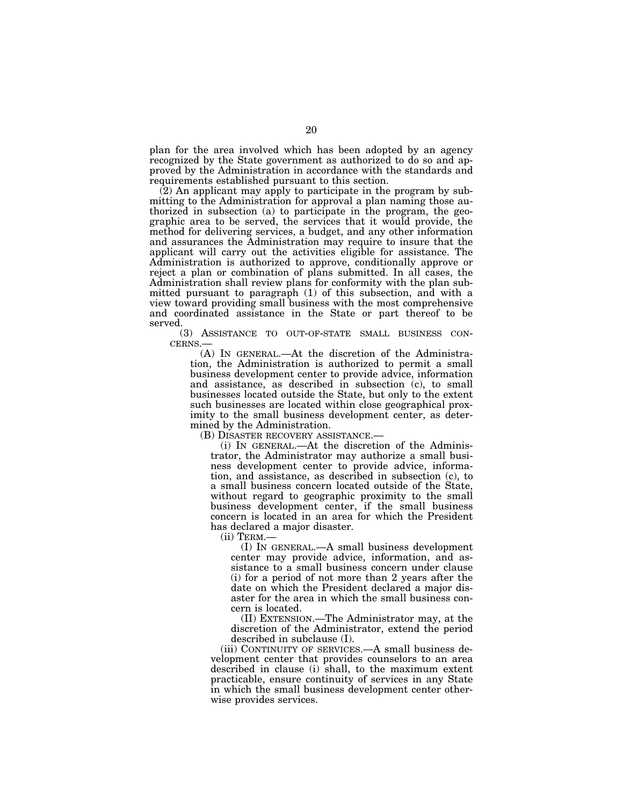plan for the area involved which has been adopted by an agency recognized by the State government as authorized to do so and approved by the Administration in accordance with the standards and requirements established pursuant to this section.

(2) An applicant may apply to participate in the program by submitting to the Administration for approval a plan naming those authorized in subsection (a) to participate in the program, the geographic area to be served, the services that it would provide, the method for delivering services, a budget, and any other information and assurances the Administration may require to insure that the applicant will carry out the activities eligible for assistance. The Administration is authorized to approve, conditionally approve or reject a plan or combination of plans submitted. In all cases, the Administration shall review plans for conformity with the plan submitted pursuant to paragraph (1) of this subsection, and with a view toward providing small business with the most comprehensive and coordinated assistance in the State or part thereof to be served.

(3) ASSISTANCE TO OUT-OF-STATE SMALL BUSINESS CON-CERNS.—

(A) IN GENERAL.—At the discretion of the Administration, the Administration is authorized to permit a small business development center to provide advice, information and assistance, as described in subsection (c), to small businesses located outside the State, but only to the extent such businesses are located within close geographical proximity to the small business development center, as determined by the Administration.

(B) DISASTER RECOVERY ASSISTANCE.—

(i) IN GENERAL.—At the discretion of the Administrator, the Administrator may authorize a small business development center to provide advice, information, and assistance, as described in subsection (c), to a small business concern located outside of the State, without regard to geographic proximity to the small business development center, if the small business concern is located in an area for which the President has declared a major disaster.<br>(ii) TERM.—

(I) IN GENERAL.—A small business development center may provide advice, information, and assistance to a small business concern under clause (i) for a period of not more than 2 years after the date on which the President declared a major disaster for the area in which the small business concern is located.

(II) EXTENSION.—The Administrator may, at the discretion of the Administrator, extend the period described in subclause (I).

(iii) CONTINUITY OF SERVICES.—A small business development center that provides counselors to an area described in clause (i) shall, to the maximum extent practicable, ensure continuity of services in any State in which the small business development center otherwise provides services.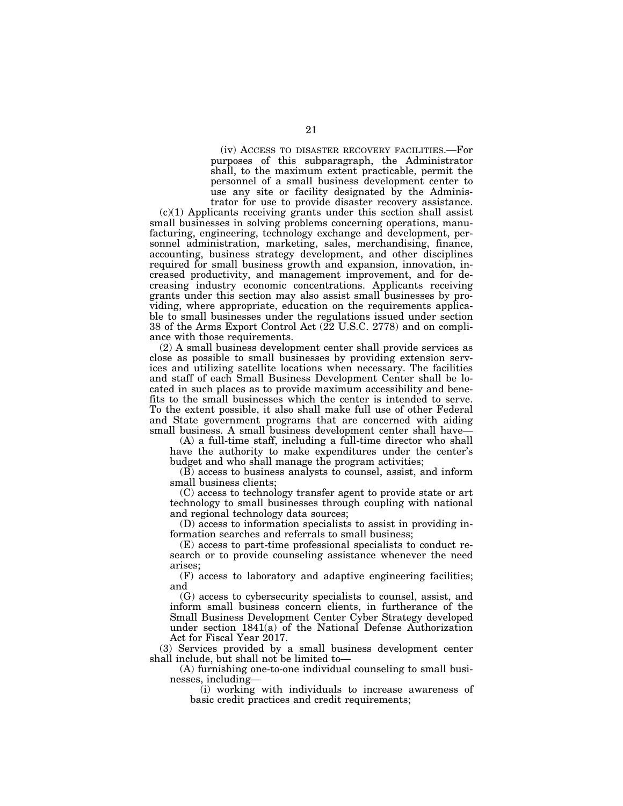(iv) ACCESS TO DISASTER RECOVERY FACILITIES.—For purposes of this subparagraph, the Administrator shall, to the maximum extent practicable, permit the personnel of a small business development center to use any site or facility designated by the Administrator for use to provide disaster recovery assistance.

 $(c)(1)$  Applicants receiving grants under this section shall assist small businesses in solving problems concerning operations, manufacturing, engineering, technology exchange and development, personnel administration, marketing, sales, merchandising, finance, accounting, business strategy development, and other disciplines required for small business growth and expansion, innovation, increased productivity, and management improvement, and for decreasing industry economic concentrations. Applicants receiving grants under this section may also assist small businesses by providing, where appropriate, education on the requirements applicable to small businesses under the regulations issued under section 38 of the Arms Export Control Act (22 U.S.C. 2778) and on compliance with those requirements.

(2) A small business development center shall provide services as close as possible to small businesses by providing extension services and utilizing satellite locations when necessary. The facilities and staff of each Small Business Development Center shall be located in such places as to provide maximum accessibility and benefits to the small businesses which the center is intended to serve. To the extent possible, it also shall make full use of other Federal and State government programs that are concerned with aiding small business. A small business development center shall have—

(A) a full-time staff, including a full-time director who shall have the authority to make expenditures under the center's budget and who shall manage the program activities;

(B) access to business analysts to counsel, assist, and inform small business clients;

(C) access to technology transfer agent to provide state or art technology to small businesses through coupling with national and regional technology data sources;

(D) access to information specialists to assist in providing information searches and referrals to small business;

(E) access to part-time professional specialists to conduct research or to provide counseling assistance whenever the need arises;

(F) access to laboratory and adaptive engineering facilities; and

(G) access to cybersecurity specialists to counsel, assist, and inform small business concern clients, in furtherance of the Small Business Development Center Cyber Strategy developed under section 1841(a) of the National Defense Authorization Act for Fiscal Year 2017.

(3) Services provided by a small business development center shall include, but shall not be limited to—

(A) furnishing one-to-one individual counseling to small businesses, including—

(i) working with individuals to increase awareness of basic credit practices and credit requirements;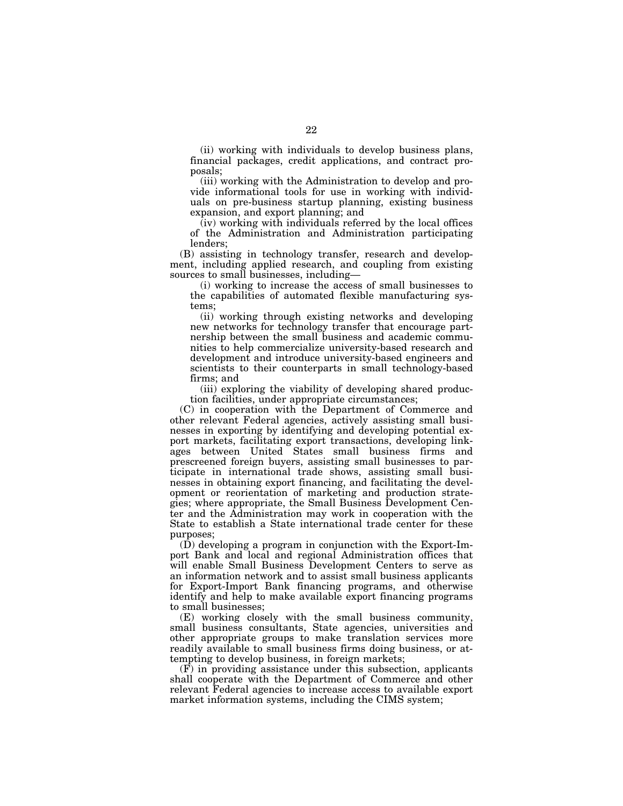(ii) working with individuals to develop business plans, financial packages, credit applications, and contract proposals;

(iii) working with the Administration to develop and provide informational tools for use in working with individuals on pre-business startup planning, existing business expansion, and export planning; and

 $(iv)$  working with individuals referred by the local offices of the Administration and Administration participating lenders;

(B) assisting in technology transfer, research and development, including applied research, and coupling from existing sources to small businesses, including—

(i) working to increase the access of small businesses to the capabilities of automated flexible manufacturing systems;

(ii) working through existing networks and developing new networks for technology transfer that encourage partnership between the small business and academic communities to help commercialize university-based research and development and introduce university-based engineers and scientists to their counterparts in small technology-based firms; and

(iii) exploring the viability of developing shared production facilities, under appropriate circumstances;

(C) in cooperation with the Department of Commerce and other relevant Federal agencies, actively assisting small businesses in exporting by identifying and developing potential export markets, facilitating export transactions, developing linkages between United States small business firms and prescreened foreign buyers, assisting small businesses to participate in international trade shows, assisting small businesses in obtaining export financing, and facilitating the development or reorientation of marketing and production strategies; where appropriate, the Small Business Development Center and the Administration may work in cooperation with the State to establish a State international trade center for these purposes;

(D) developing a program in conjunction with the Export-Import Bank and local and regional Administration offices that will enable Small Business Development Centers to serve as an information network and to assist small business applicants for Export-Import Bank financing programs, and otherwise identify and help to make available export financing programs to small businesses;

(E) working closely with the small business community, small business consultants, State agencies, universities and other appropriate groups to make translation services more readily available to small business firms doing business, or attempting to develop business, in foreign markets;

(F) in providing assistance under this subsection, applicants shall cooperate with the Department of Commerce and other relevant Federal agencies to increase access to available export market information systems, including the CIMS system;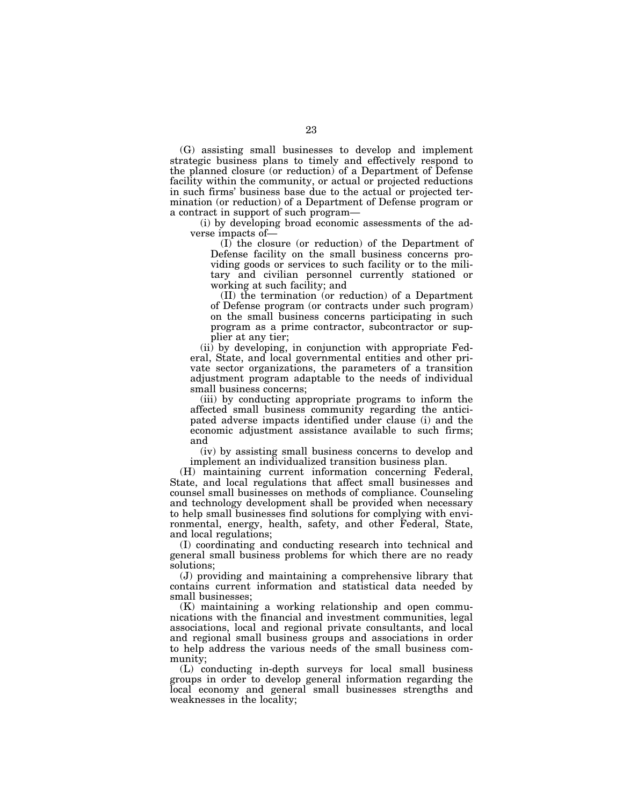(G) assisting small businesses to develop and implement strategic business plans to timely and effectively respond to the planned closure (or reduction) of a Department of Defense facility within the community, or actual or projected reductions in such firms' business base due to the actual or projected termination (or reduction) of a Department of Defense program or a contract in support of such program—

(i) by developing broad economic assessments of the adverse impacts of—

(I) the closure (or reduction) of the Department of Defense facility on the small business concerns providing goods or services to such facility or to the military and civilian personnel currently stationed or working at such facility; and

(II) the termination (or reduction) of a Department of Defense program (or contracts under such program) on the small business concerns participating in such program as a prime contractor, subcontractor or supplier at any tier;

(ii) by developing, in conjunction with appropriate Federal, State, and local governmental entities and other private sector organizations, the parameters of a transition adjustment program adaptable to the needs of individual small business concerns;

(iii) by conducting appropriate programs to inform the affected small business community regarding the anticipated adverse impacts identified under clause (i) and the economic adjustment assistance available to such firms; and

(iv) by assisting small business concerns to develop and implement an individualized transition business plan.

(H) maintaining current information concerning Federal, State, and local regulations that affect small businesses and counsel small businesses on methods of compliance. Counseling and technology development shall be provided when necessary to help small businesses find solutions for complying with environmental, energy, health, safety, and other Federal, State, and local regulations;

(I) coordinating and conducting research into technical and general small business problems for which there are no ready solutions;

(J) providing and maintaining a comprehensive library that contains current information and statistical data needed by small businesses;

(K) maintaining a working relationship and open communications with the financial and investment communities, legal associations, local and regional private consultants, and local and regional small business groups and associations in order to help address the various needs of the small business community;

(L) conducting in-depth surveys for local small business groups in order to develop general information regarding the local economy and general small businesses strengths and weaknesses in the locality;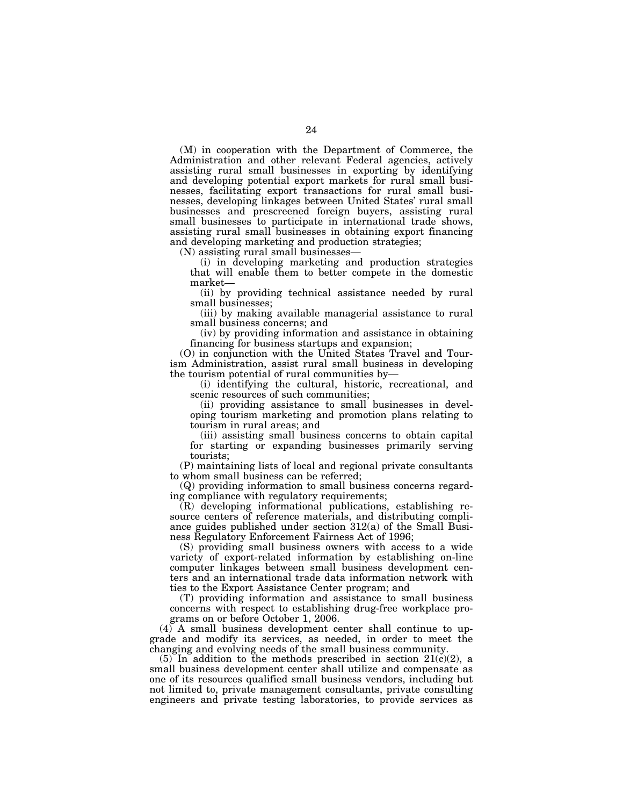(M) in cooperation with the Department of Commerce, the Administration and other relevant Federal agencies, actively assisting rural small businesses in exporting by identifying and developing potential export markets for rural small businesses, facilitating export transactions for rural small businesses, developing linkages between United States' rural small businesses and prescreened foreign buyers, assisting rural small businesses to participate in international trade shows, assisting rural small businesses in obtaining export financing and developing marketing and production strategies;

(N) assisting rural small businesses—

(i) in developing marketing and production strategies that will enable them to better compete in the domestic market—

(ii) by providing technical assistance needed by rural small businesses;

(iii) by making available managerial assistance to rural small business concerns; and

(iv) by providing information and assistance in obtaining financing for business startups and expansion;

(O) in conjunction with the United States Travel and Tourism Administration, assist rural small business in developing the tourism potential of rural communities by—

(i) identifying the cultural, historic, recreational, and scenic resources of such communities;

(ii) providing assistance to small businesses in developing tourism marketing and promotion plans relating to tourism in rural areas; and

(iii) assisting small business concerns to obtain capital for starting or expanding businesses primarily serving tourists;

(P) maintaining lists of local and regional private consultants to whom small business can be referred;

(Q) providing information to small business concerns regarding compliance with regulatory requirements;

(R) developing informational publications, establishing resource centers of reference materials, and distributing compliance guides published under section 312(a) of the Small Business Regulatory Enforcement Fairness Act of 1996;

(S) providing small business owners with access to a wide variety of export-related information by establishing on-line computer linkages between small business development centers and an international trade data information network with ties to the Export Assistance Center program; and

(T) providing information and assistance to small business concerns with respect to establishing drug-free workplace programs on or before October 1, 2006.

(4) A small business development center shall continue to upgrade and modify its services, as needed, in order to meet the changing and evolving needs of the small business community.

(5) In addition to the methods prescribed in section  $21(c)(2)$ , a small business development center shall utilize and compensate as one of its resources qualified small business vendors, including but not limited to, private management consultants, private consulting engineers and private testing laboratories, to provide services as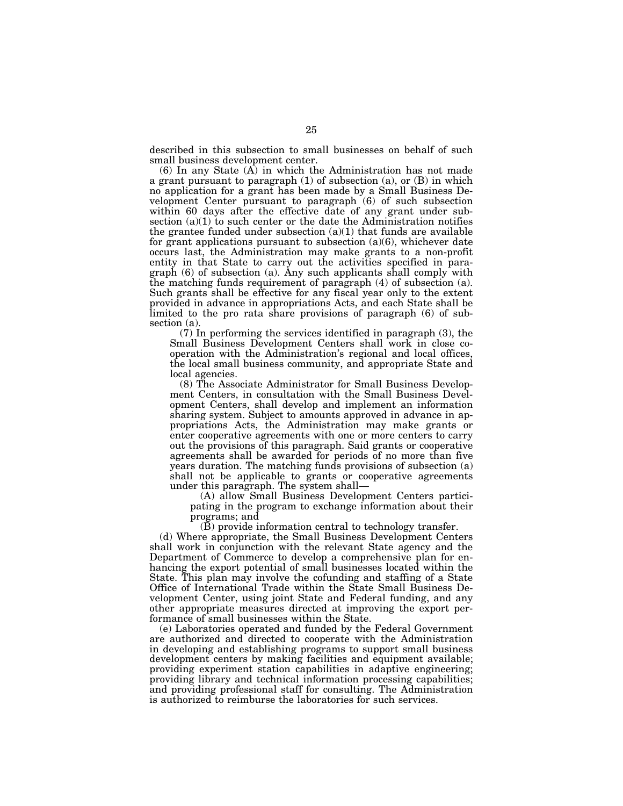described in this subsection to small businesses on behalf of such small business development center.

 $(6)$  In any State  $(A)$  in which the Administration has not made a grant pursuant to paragraph (1) of subsection (a), or (B) in which no application for a grant has been made by a Small Business Development Center pursuant to paragraph (6) of such subsection within 60 days after the effective date of any grant under subsection  $(a)(1)$  to such center or the date the Administration notifies the grantee funded under subsection  $(a)(1)$  that funds are available for grant applications pursuant to subsection (a)(6), whichever date occurs last, the Administration may make grants to a non-profit entity in that State to carry out the activities specified in paragraph (6) of subsection (a). Any such applicants shall comply with the matching funds requirement of paragraph (4) of subsection (a). Such grants shall be effective for any fiscal year only to the extent provided in advance in appropriations Acts, and each State shall be limited to the pro rata share provisions of paragraph (6) of subsection (a).

(7) In performing the services identified in paragraph (3), the Small Business Development Centers shall work in close cooperation with the Administration's regional and local offices, the local small business community, and appropriate State and local agencies.

(8) The Associate Administrator for Small Business Development Centers, in consultation with the Small Business Development Centers, shall develop and implement an information sharing system. Subject to amounts approved in advance in appropriations Acts, the Administration may make grants or enter cooperative agreements with one or more centers to carry out the provisions of this paragraph. Said grants or cooperative agreements shall be awarded for periods of no more than five years duration. The matching funds provisions of subsection (a) shall not be applicable to grants or cooperative agreements under this paragraph. The system shall—

(A) allow Small Business Development Centers participating in the program to exchange information about their programs; and

(B) provide information central to technology transfer.

(d) Where appropriate, the Small Business Development Centers shall work in conjunction with the relevant State agency and the Department of Commerce to develop a comprehensive plan for enhancing the export potential of small businesses located within the State. This plan may involve the cofunding and staffing of a State Office of International Trade within the State Small Business Development Center, using joint State and Federal funding, and any other appropriate measures directed at improving the export performance of small businesses within the State.

(e) Laboratories operated and funded by the Federal Government are authorized and directed to cooperate with the Administration in developing and establishing programs to support small business development centers by making facilities and equipment available; providing experiment station capabilities in adaptive engineering; providing library and technical information processing capabilities; and providing professional staff for consulting. The Administration is authorized to reimburse the laboratories for such services.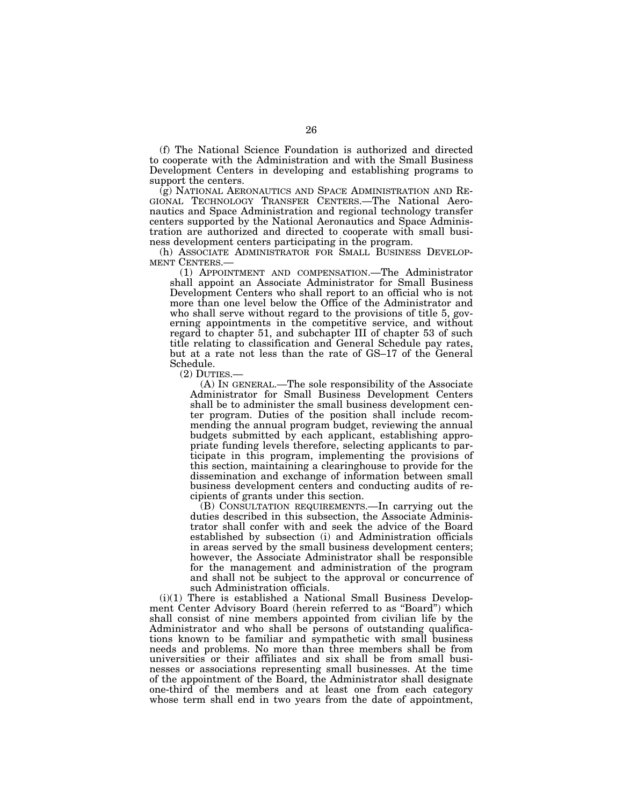(f) The National Science Foundation is authorized and directed to cooperate with the Administration and with the Small Business Development Centers in developing and establishing programs to support the centers.

(g) NATIONAL AERONAUTICS AND SPACE ADMINISTRATION AND RE- GIONAL TECHNOLOGY TRANSFER CENTERS.—The National Aeronautics and Space Administration and regional technology transfer centers supported by the National Aeronautics and Space Administration are authorized and directed to cooperate with small business development centers participating in the program.

(h) ASSOCIATE ADMINISTRATOR FOR SMALL BUSINESS DEVELOP-MENT CENTERS.—

(1) APPOINTMENT AND COMPENSATION.—The Administrator shall appoint an Associate Administrator for Small Business Development Centers who shall report to an official who is not more than one level below the Office of the Administrator and who shall serve without regard to the provisions of title 5, governing appointments in the competitive service, and without regard to chapter 51, and subchapter III of chapter 53 of such title relating to classification and General Schedule pay rates, but at a rate not less than the rate of GS–17 of the General Schedule.<br>(2) DUTIES.

 $(A)$  In GENERAL.—The sole responsibility of the Associate Administrator for Small Business Development Centers shall be to administer the small business development center program. Duties of the position shall include recommending the annual program budget, reviewing the annual budgets submitted by each applicant, establishing appropriate funding levels therefore, selecting applicants to participate in this program, implementing the provisions of this section, maintaining a clearinghouse to provide for the dissemination and exchange of information between small business development centers and conducting audits of recipients of grants under this section.

(B) CONSULTATION REQUIREMENTS.—In carrying out the duties described in this subsection, the Associate Administrator shall confer with and seek the advice of the Board established by subsection (i) and Administration officials in areas served by the small business development centers; however, the Associate Administrator shall be responsible for the management and administration of the program and shall not be subject to the approval or concurrence of such Administration officials.

(i)(1) There is established a National Small Business Development Center Advisory Board (herein referred to as ''Board'') which shall consist of nine members appointed from civilian life by the Administrator and who shall be persons of outstanding qualifications known to be familiar and sympathetic with small business needs and problems. No more than three members shall be from universities or their affiliates and six shall be from small businesses or associations representing small businesses. At the time of the appointment of the Board, the Administrator shall designate one-third of the members and at least one from each category whose term shall end in two years from the date of appointment,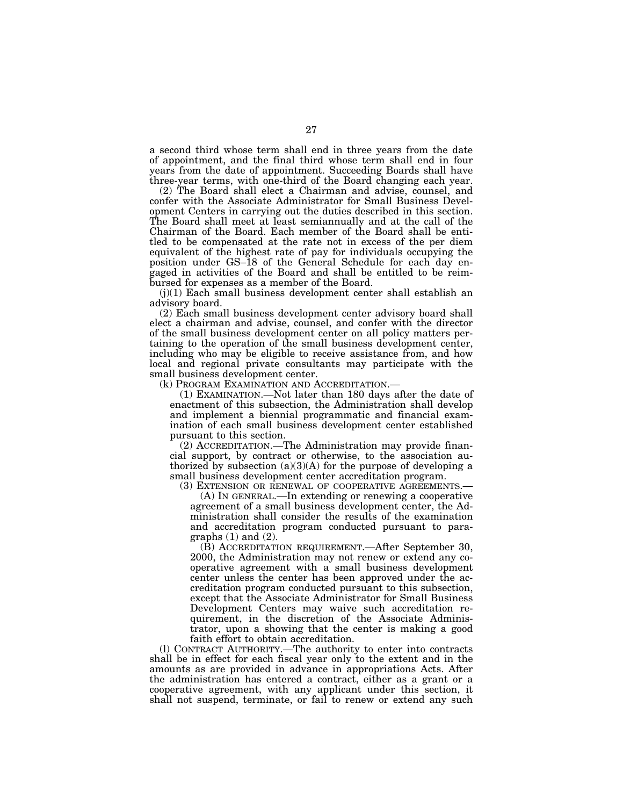a second third whose term shall end in three years from the date of appointment, and the final third whose term shall end in four years from the date of appointment. Succeeding Boards shall have three-year terms, with one-third of the Board changing each year.

(2) The Board shall elect a Chairman and advise, counsel, and confer with the Associate Administrator for Small Business Development Centers in carrying out the duties described in this section. The Board shall meet at least semiannually and at the call of the Chairman of the Board. Each member of the Board shall be entitled to be compensated at the rate not in excess of the per diem equivalent of the highest rate of pay for individuals occupying the position under GS–18 of the General Schedule for each day engaged in activities of the Board and shall be entitled to be reimbursed for expenses as a member of the Board.

 $(j)(1)$  Each small business development center shall establish an advisory board.

(2) Each small business development center advisory board shall elect a chairman and advise, counsel, and confer with the director of the small business development center on all policy matters pertaining to the operation of the small business development center, including who may be eligible to receive assistance from, and how local and regional private consultants may participate with the small business development center.<br>(k) PROGRAM EXAMINATION AND ACCREDITATION.

 $(1)$  EXAMINATION.—Not later than 180 days after the date of enactment of this subsection, the Administration shall develop and implement a biennial programmatic and financial examination of each small business development center established pursuant to this section.

(2) ACCREDITATION.—The Administration may provide financial support, by contract or otherwise, to the association authorized by subsection  $(a)(3)(A)$  for the purpose of developing a small business development center accreditation program.

(3) EXTENSION OR RENEWAL OF COOPERATIVE AGREEMENTS.— (A) IN GENERAL.—In extending or renewing a cooperative agreement of a small business development center, the Administration shall consider the results of the examination and accreditation program conducted pursuant to paragraphs  $(1)$  and  $(2)$ .

(B) ACCREDITATION REQUIREMENT.—After September 30, 2000, the Administration may not renew or extend any cooperative agreement with a small business development center unless the center has been approved under the accreditation program conducted pursuant to this subsection, except that the Associate Administrator for Small Business Development Centers may waive such accreditation requirement, in the discretion of the Associate Administrator, upon a showing that the center is making a good faith effort to obtain accreditation.

(l) CONTRACT AUTHORITY.—The authority to enter into contracts shall be in effect for each fiscal year only to the extent and in the amounts as are provided in advance in appropriations Acts. After the administration has entered a contract, either as a grant or a cooperative agreement, with any applicant under this section, it shall not suspend, terminate, or fail to renew or extend any such